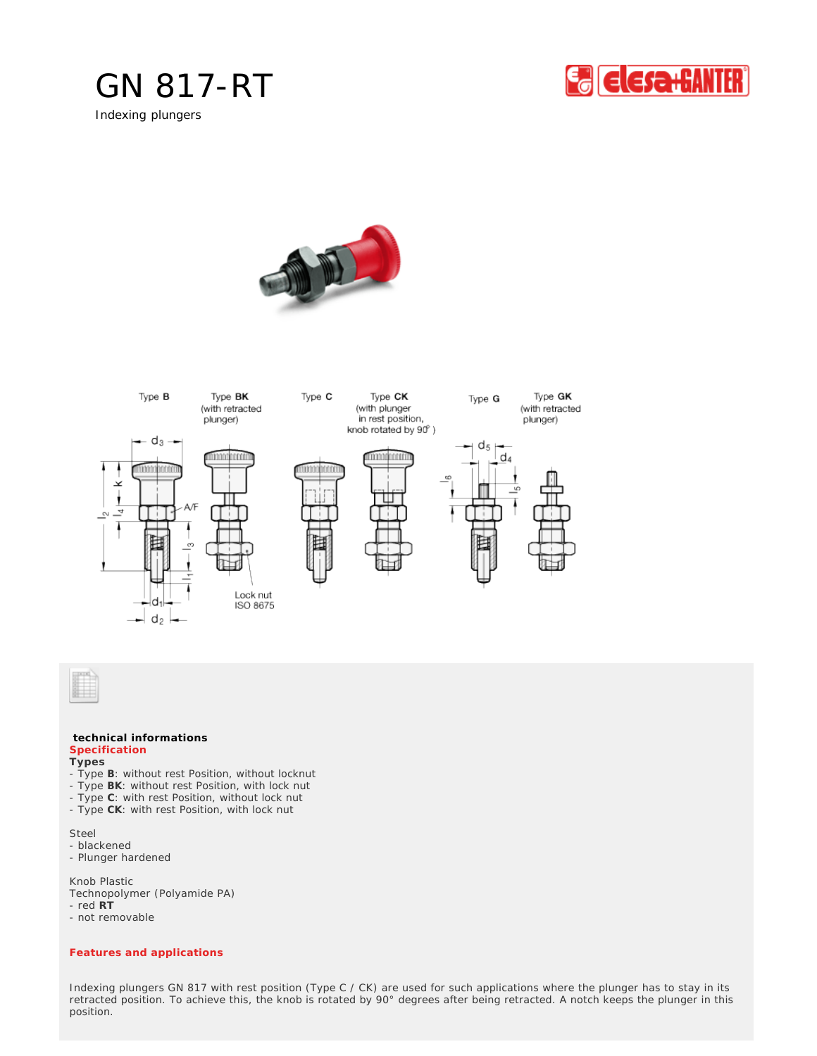

Indexing plungers







## **technical informations Specification**

**Types**

- Type **B**: without rest Position, without locknut
- Type **BK**: without rest Position, with lock nut
- Type **C**: with rest Position, without lock nut
- Type **CK**: with rest Position, with lock nut

Steel

- blackened

- Plunger hardened

Knob Plastic Technopolymer (Polyamide PA) - red **RT**

- not removable

## *Features and applications*

Indexing plungers GN 817 with rest position (Type C / CK) are used for such applications where the plunger has to stay in its retracted position. To achieve this, the knob is rotated by 90° degrees after being retracted. A notch keeps the plunger in this position.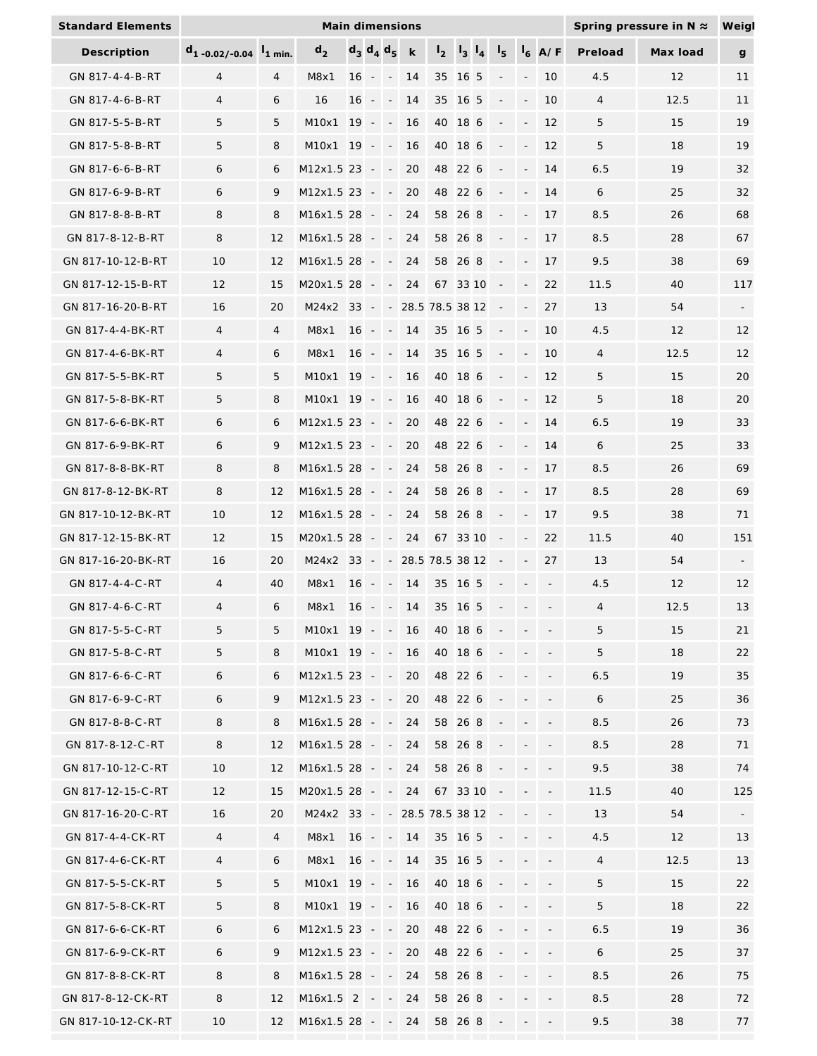| <b>Standard Elements</b> | Main dimensions<br>Spring pressure in N $\approx$ |                    |                  |        |                   |                                       |                    |                  |                                           |  |                          |                          |                          | Weigl          |          |                          |
|--------------------------|---------------------------------------------------|--------------------|------------------|--------|-------------------|---------------------------------------|--------------------|------------------|-------------------------------------------|--|--------------------------|--------------------------|--------------------------|----------------|----------|--------------------------|
| Description              | $d_{1}$ -0.02/-0.04                               | $\frac{1}{1}$ min. | $d_{2}$          |        | $d_3$ $d_4$ $d_5$ |                                       | $\sf k$            | $\mathbf{1}_{2}$ | $\vert$ <sub>3</sub> $\vert$ <sub>4</sub> |  | 's                       |                          | $\mathsf{I}_6$ A/F       | Preload        | Max load | g                        |
| GN 817-4-4-B-RT          | $\overline{4}$                                    | $\overline{4}$     | M8x1             | 16     | $\sim$            | $\overline{\phantom{a}}$              | 14                 | 35               | 16 5                                      |  |                          |                          | 10                       | 4.5            | 12       | 11                       |
| GN 817-4-6-B-RT          | 4                                                 | 6                  | 16               | 16     | $\sim$            | $\overline{\phantom{a}}$              | 14                 | 35 16 5          |                                           |  |                          | $\overline{\phantom{a}}$ | 10                       | $\overline{4}$ | 12.5     | 11                       |
| GN 817-5-5-B-RT          | 5                                                 | 5                  | M10x1 19 -       |        |                   | $\sim$                                | 16                 | 40 18 6          |                                           |  | $\overline{\phantom{a}}$ | $\overline{\phantom{a}}$ | 12                       | 5              | 15       | 19                       |
| GN 817-5-8-B-RT          | 5                                                 | 8                  | M10x1 19 -       |        |                   | $\sim$                                | 16                 | 40 18 6          |                                           |  | $\overline{\phantom{a}}$ | $\overline{\phantom{a}}$ | 12                       | 5              | 18       | 19                       |
| GN 817-6-6-B-RT          | 6                                                 | 6                  | M12x1.5 23 -     |        |                   | $\mathcal{L} \rightarrow \mathcal{L}$ | 20                 | 48 22 6          |                                           |  |                          | $\blacksquare$           | 14                       | 6.5            | 19       | 32                       |
| GN 817-6-9-B-RT          | 6                                                 | 9                  | $M12x1.5$ 23 - - |        |                   |                                       | 20                 | 48 22 6          |                                           |  |                          |                          | 14                       | 6              | 25       | 32                       |
| GN 817-8-8-B-RT          | 8                                                 | 8                  | $M16x1.5$ 28 - - |        |                   |                                       | 24                 | 58 26 8          |                                           |  |                          |                          | 17                       | 8.5            | 26       | 68                       |
| GN 817-8-12-B-RT         | 8                                                 | 12                 | $M16x1.5$ 28 - - |        |                   |                                       | 24                 | 58 26 8          |                                           |  |                          |                          | 17                       | 8.5            | 28       | 67                       |
| GN 817-10-12-B-RT        | 10                                                | 12                 | M16x1.5 28 -     |        |                   | $\sim$                                | 24                 | 58               | 26 8                                      |  |                          |                          | 17                       | 9.5            | 38       | 69                       |
| GN 817-12-15-B-RT        | 12                                                | 15                 | M20x1.5 28 -     |        |                   | $\sim$                                | 24                 | 67 33 10         |                                           |  |                          |                          | 22                       | 11.5           | 40       | 117                      |
| GN 817-16-20-B-RT        | 16                                                | 20                 | M24x2 33 -       |        |                   |                                       | $-28.5$ 78.5 38 12 |                  |                                           |  |                          |                          | 27                       | 13             | 54       | $\overline{\phantom{a}}$ |
| GN 817-4-4-BK-RT         | 4                                                 | 4                  | M8x1             | $16 -$ |                   | $\sim$                                | 14                 | 35 16 5          |                                           |  | $\overline{\phantom{a}}$ | $\overline{\phantom{a}}$ | 10                       | 4.5            | 12       | 12                       |
| GN 817-4-6-BK-RT         | 4                                                 | 6                  | M8x1             | 16     | $\sim$            | $\sim$                                | 14                 | 35 16 5          |                                           |  | $\overline{\phantom{a}}$ | $\blacksquare$           | 10                       | 4              | 12.5     | 12                       |
| GN 817-5-5-BK-RT         | 5                                                 | 5                  | M10x1            | $19 -$ |                   | $\sim$                                | 16                 | 40 18 6          |                                           |  |                          |                          | 12                       | 5              | 15       | 20                       |
| GN 817-5-8-BK-RT         | 5                                                 | 8                  | M10x1            |        | $19 - -$          |                                       | 16                 | 40 18 6          |                                           |  |                          |                          | 12                       | 5              | 18       | 20                       |
| GN 817-6-6-BK-RT         | 6                                                 | 6                  | $M12x1.5$ 23 - - |        |                   |                                       | 20                 | 48 22 6          |                                           |  |                          |                          | 14                       | 6.5            | 19       | 33                       |
| GN 817-6-9-BK-RT         | 6                                                 | 9                  | M12x1.5 23 -     |        |                   | $\sim$                                | 20                 | 48 22 6          |                                           |  |                          |                          | 14                       | 6              | 25       | 33                       |
| GN 817-8-8-BK-RT         | 8                                                 | 8                  | M16x1.5 28 -     |        |                   | $\mathcal{L}$ .                       | 24                 | 58 26 8          |                                           |  |                          |                          | 17                       | 8.5            | 26       | 69                       |
| GN 817-8-12-BK-RT        | 8                                                 | 12                 | $M16x1.5$ 28 - - |        |                   |                                       | 24                 | 58 26 8          |                                           |  |                          |                          | 17                       | 8.5            | 28       | 69                       |
| GN 817-10-12-BK-RT       | 10                                                | 12                 | $M16x1.5$ 28 - - |        |                   |                                       | 24                 | 58 26 8          |                                           |  | $\overline{\phantom{a}}$ | $\blacksquare$           | 17                       | 9.5            | 38       | 71                       |
| GN 817-12-15-BK-RT       | 12                                                | 15                 | M20x1.5 28 -     |        |                   | $\sim$                                | 24                 | 67 33 10         |                                           |  | $\overline{\phantom{a}}$ | $\overline{\phantom{a}}$ | 22                       | 11.5           | 40       | 151                      |
| GN 817-16-20-BK-RT       | 16                                                | 20                 | M24x2 33         |        | $\sim$            | $\sim$                                | 28.5 78.5 38 12    |                  |                                           |  |                          |                          | 27                       | 13             | 54       | $\overline{\phantom{a}}$ |
| GN 817-4-4-C-RT          | $\overline{4}$                                    | 40                 | M8x1             | 16     | $\sim$ $-$        | $\sim$                                | 14                 | 35 16 5          |                                           |  |                          |                          | $\overline{\phantom{a}}$ | 4.5            | 12       | 12                       |
| GN 817-4-6-C-RT          | 4                                                 | 6                  | M8x1             | 16     | $\sim$            | $\sim$                                | 14                 | 35 16 5          |                                           |  |                          |                          |                          | $\overline{4}$ | 12.5     | 13                       |
| GN 817-5-5-C-RT          | 5                                                 | 5                  | $M10x1$ 19 - -   |        |                   |                                       | 16                 | 40 18 6          |                                           |  |                          |                          |                          | 5              | 15       | 21                       |
| GN 817-5-8-C-RT          | 5                                                 | 8                  | $M10x1$ 19 - -   |        |                   |                                       | 16                 | 40 18 6          |                                           |  |                          |                          |                          | 5              | 18       | 22                       |
| GN 817-6-6-C-RT          | 6                                                 | 6                  | $M12x1.5$ 23 - - |        |                   |                                       | 20                 | 48 22 6          |                                           |  |                          |                          |                          | $6.5$          | 19       | 35                       |
| GN 817-6-9-C-RT          | 6                                                 | 9                  | $M12x1.5$ 23 - - |        |                   |                                       | 20                 | 48 22 6          |                                           |  |                          |                          |                          | 6              | 25       | 36                       |
| GN 817-8-8-C-RT          | 8                                                 | 8                  | $M16x1.5$ 28 - - |        |                   |                                       | 24                 | 58 26 8          |                                           |  |                          |                          |                          | 8.5            | 26       | 73                       |
| GN 817-8-12-C-RT         | 8                                                 | 12                 | $M16x1.5$ 28 - - |        |                   |                                       | 24                 | 58 26 8          |                                           |  |                          |                          |                          | 8.5            | 28       | 71                       |
| GN 817-10-12-C-RT        | 10                                                | 12                 | M16x1.5 28 - -   |        |                   |                                       | 24                 | 58 26 8          |                                           |  |                          |                          |                          | 9.5            | 38       | 74                       |
| GN 817-12-15-C-RT        | 12                                                | 15                 | $M20x1.528 -$    |        |                   |                                       | 24                 | 67 33 10         |                                           |  |                          |                          |                          | 11.5           | 40       | 125                      |
| GN 817-16-20-C-RT        | 16                                                | 20                 | M24x2            |        | $33 - -$          |                                       | 28.5 78.5 38 12    |                  |                                           |  |                          |                          |                          | 13             | 54       |                          |
| GN 817-4-4-CK-RT         | $\overline{4}$                                    | $\overline{4}$     | M8x1             |        | $16 - -$          |                                       | 14                 | 35 16 5          |                                           |  |                          |                          |                          | 4.5            | 12       | 13                       |
| GN 817-4-6-CK-RT         | $\overline{4}$                                    | 6                  | M8x1             |        | $16 - -$          |                                       | 14                 | 35 16 5          |                                           |  |                          |                          | $\overline{\phantom{a}}$ | $\overline{4}$ | 12.5     | 13                       |
| GN 817-5-5-CK-RT         | 5                                                 | 5                  | M10x1 19 - -     |        |                   |                                       | 16                 | 40 18 6          |                                           |  |                          |                          |                          | 5              | 15       | 22                       |
| GN 817-5-8-CK-RT         | 5                                                 | 8                  | M10x1 19 - -     |        |                   |                                       | 16                 | 40 18 6          |                                           |  |                          |                          | $\overline{\phantom{a}}$ | 5              | 18       | 22                       |
| GN 817-6-6-CK-RT         | 6                                                 | 6                  | $M12x1.5$ 23 - - |        |                   |                                       | 20                 | 48 22 6          |                                           |  |                          |                          |                          | 6.5            | 19       | 36                       |
| GN 817-6-9-CK-RT         | 6                                                 | 9                  | $M12x1.5$ 23 - - |        |                   |                                       | 20                 | 48 22 6          |                                           |  |                          |                          | $\overline{\phantom{a}}$ | 6              | 25       | 37                       |
| GN 817-8-8-CK-RT         | 8                                                 | 8                  | $M16x1.5$ 28 - - |        |                   |                                       | 24                 | 58 26 8          |                                           |  |                          |                          |                          | 8.5            | 26       | 75                       |
| GN 817-8-12-CK-RT        | 8                                                 | 12                 | $M16x1.5$ 2 - -  |        |                   |                                       | 24                 | 58 26 8          |                                           |  |                          |                          |                          | 8.5            | 28       | 72                       |
| GN 817-10-12-CK-RT       | 10                                                | 12                 | $M16x1.5$ 28 - - |        |                   |                                       | 24                 | 58 26 8          |                                           |  |                          | $\overline{\phantom{a}}$ | $\overline{\phantom{a}}$ | 9.5            | 38       | 77                       |